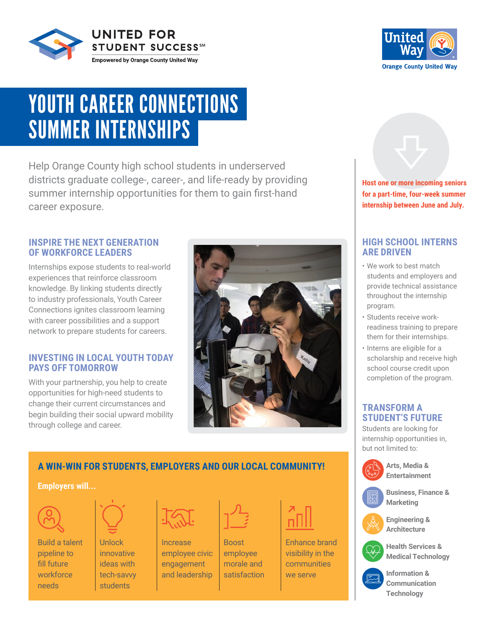



# YOUTH CAREER CONNECTIONS SUMMER INTERNSHIPS

Help Orange County high school students in underserved districts graduate college-, career-, and life-ready by providing summer internship opportunities for them to gain first-hand career exposure.

#### **INSPIRE THE NEXT GENERATION OF WORKFORCE LEADERS**

Internships expose students to real-world experiences that reinforce classroom knowledge. By linking students directly to industry professionals, Youth Career Connections ignites classroom learning with career possibilities and a support network to prepare students for careers.

#### **INVESTING IN LOCAL YOUTH TODAY PAYS OFF TOMORROW**

With your partnership, you help to create opportunities for high-need students to change their current circumstances and begin building their social upward mobility through college and career.



## **A WIN-WIN FOR STUDENTS, EMPLOYERS AND OUR LOCAL COMMUNITY!**

#### **Employers will...**



Build a talent pipeline to fill future workforce needs



Unlock innovative ideas with tech-savvy students



Increase employee civic engagement and leadership

Boost employee morale and satisfaction



Enhance brand visibility in the communities we serve



**for a part-time, four-week summer internship between June and July.**

#### **HIGH SCHOOL INTERNS ARE DRIVEN**

- We work to best match students and employers and provide technical assistance throughout the internship program.
- Students receive workreadiness training to prepare them for their internships.
- Interns are eligible for a scholarship and receive high school course credit upon completion of the program.

#### **TRANSFORM A STUDENT'S FUTURE**

Students are looking for internship opportunities in, but not limited to:

> **Arts, Media & Entertainment**



**Business, Finance & Marketing**











**Information & Communication Technology**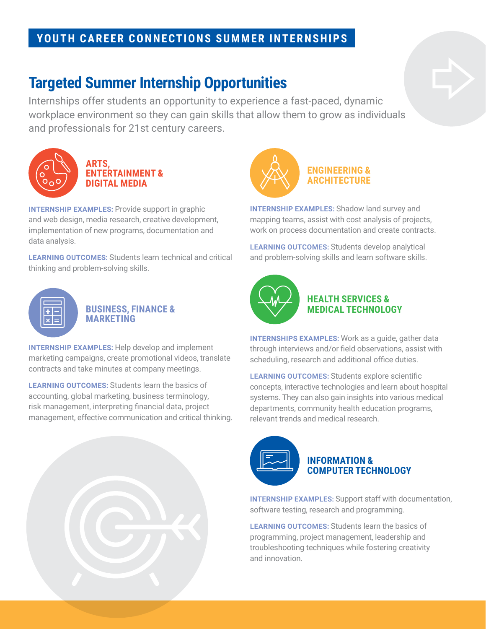### **YOUTH CAREER CONNECTIONS SUMMER INTERNSHIPS**

### **Targeted Summer Internship Opportunities**

Internships offer students an opportunity to experience a fast-paced, dynamic workplace environment so they can gain skills that allow them to grow as individuals and professionals for 21st century careers.



### **ARTS, ENTERTAINMENT & DIGITAL MEDIA**

**INTERNSHIP EXAMPLES:** Provide support in graphic and web design, media research, creative development, implementation of new programs, documentation and data analysis.

**LEARNING OUTCOMES:** Students learn technical and critical thinking and problem-solving skills.



#### **BUSINESS, FINANCE & MARKETING**

**INTERNSHIP EXAMPLES:** Help develop and implement marketing campaigns, create promotional videos, translate contracts and take minutes at company meetings.

**LEARNING OUTCOMES:** Students learn the basics of accounting, global marketing, business terminology, risk management, interpreting financial data, project management, effective communication and critical thinking.



**INTERNSHIP EXAMPLES:** Shadow land survey and mapping teams, assist with cost analysis of projects, work on process documentation and create contracts.

**LEARNING OUTCOMES:** Students develop analytical and problem-solving skills and learn software skills.



#### **HEALTH SERVICES & MEDICAL TECHNOLOGY**

**INTERNSHIPS EXAMPLES:** Work as a guide, gather data through interviews and/or field observations, assist with scheduling, research and additional office duties.

**LEARNING OUTCOMES:** Students explore scientific concepts, interactive technologies and learn about hospital systems. They can also gain insights into various medical departments, community health education programs, relevant trends and medical research.



**INTERNSHIP EXAMPLES:** Support staff with documentation, software testing, research and programming.

**LEARNING OUTCOMES:** Students learn the basics of programming, project management, leadership and troubleshooting techniques while fostering creativity and innovation.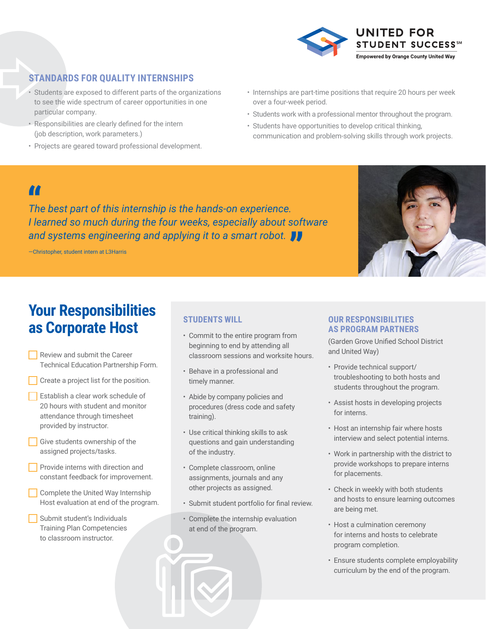

### **STANDARDS FOR QUALITY INTERNSHIPS**

- Students are exposed to different parts of the organizations to see the wide spectrum of career opportunities in one particular company.
- Responsibilities are clearly defined for the intern (job description, work parameters.)
- Projects are geared toward professional development.
- Internships are part-time positions that require 20 hours per week over a four-week period.
- Students work with a professional mentor throughout the program.
- Students have opportunities to develop critical thinking, communication and problem-solving skills through work projects.

**"**<br>The<br>Lie *The best part of this internship is the hands-on experience. I learned so much during the four weeks, especially about software and systems engineering and applying it to a smart robot.* 

—Christopher, student intern at L3Harris



## **Your Responsibilities as Corporate Host**

- Review and submit the Career Technical Education Partnership Form.
- Create a project list for the position.
- Establish a clear work schedule of 20 hours with student and monitor attendance through timesheet provided by instructor.
- Give students ownership of the assigned projects/tasks.
- **Provide interns with direction and** constant feedback for improvement.
- **Complete the United Way Internship** Host evaluation at end of the program.
- Submit student's Individuals Training Plan Competencies to classroom instructor.

#### **STUDENTS WILL**

- Commit to the entire program from beginning to end by attending all classroom sessions and worksite hours.
- Behave in a professional and timely manner.
- Abide by company policies and procedures (dress code and safety training).
- Use critical thinking skills to ask questions and gain understanding of the industry.
- Complete classroom, online assignments, journals and any other projects as assigned.
- Submit student portfolio for final review.
- Complete the internship evaluation at end of the program.

#### **OUR RESPONSIBILITIES AS PROGRAM PARTNERS**

(Garden Grove Unified School District and United Way)

- Provide technical support/ troubleshooting to both hosts and students throughout the program.
- Assist hosts in developing projects for interns.
- Host an internship fair where hosts interview and select potential interns.
- Work in partnership with the district to provide workshops to prepare interns for placements.
- Check in weekly with both students and hosts to ensure learning outcomes are being met.
- Host a culmination ceremony for interns and hosts to celebrate program completion.
- Ensure students complete employability curriculum by the end of the program.